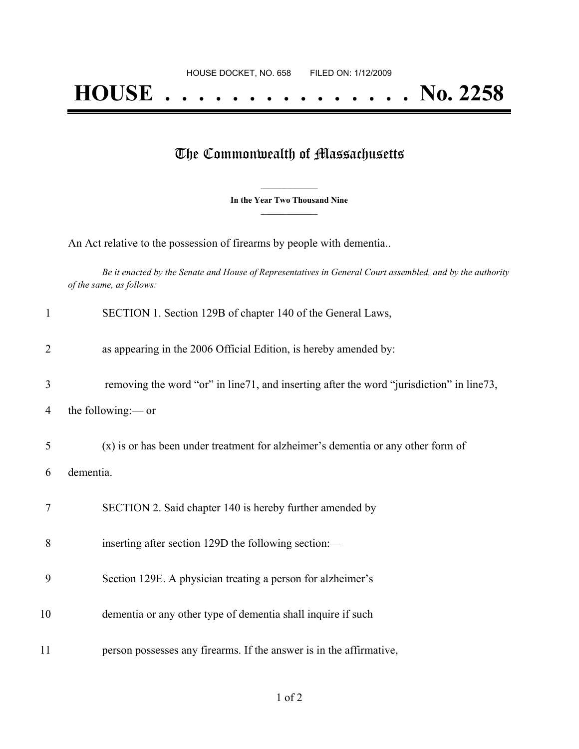## The Commonwealth of Massachusetts

**\_\_\_\_\_\_\_\_\_\_\_\_\_\_\_ In the Year Two Thousand Nine \_\_\_\_\_\_\_\_\_\_\_\_\_\_\_**

An Act relative to the possession of firearms by people with dementia..

Be it enacted by the Senate and House of Representatives in General Court assembled, and by the authority *of the same, as follows:*

| $\mathbf{1}$   | SECTION 1. Section 129B of chapter 140 of the General Laws,                              |
|----------------|------------------------------------------------------------------------------------------|
| $\overline{2}$ | as appearing in the 2006 Official Edition, is hereby amended by:                         |
| 3              | removing the word "or" in line71, and inserting after the word "jurisdiction" in line73, |
| 4              | the following:— or                                                                       |
| 5              | (x) is or has been under treatment for alzheimer's dementia or any other form of         |
| 6              | dementia.                                                                                |
| 7              | SECTION 2. Said chapter 140 is hereby further amended by                                 |
| 8              | inserting after section 129D the following section:—                                     |
| 9              | Section 129E. A physician treating a person for alzheimer's                              |
| 10             | dementia or any other type of dementia shall inquire if such                             |
| 11             | person possesses any firearms. If the answer is in the affirmative,                      |